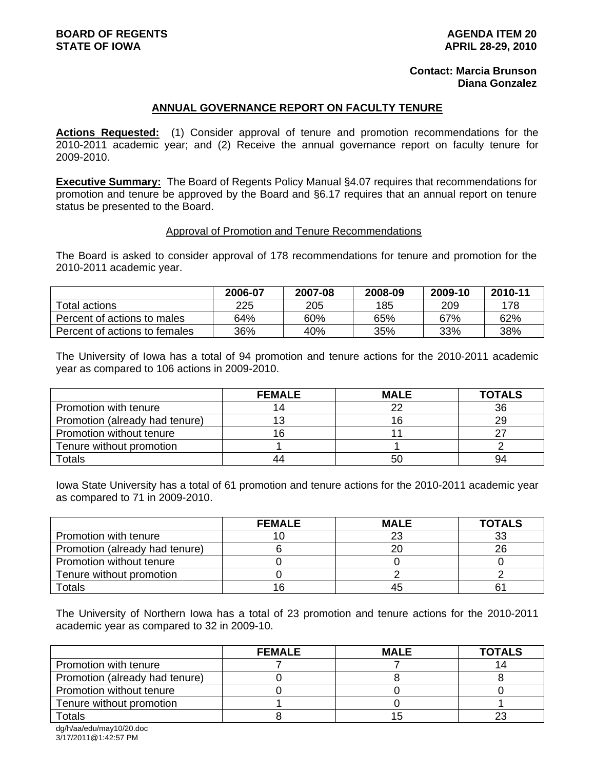### **Contact: Marcia Brunson Diana Gonzalez**

### **ANNUAL GOVERNANCE REPORT ON FACULTY TENURE**

**Actions Requested:** (1) Consider approval of tenure and promotion recommendations for the 2010-2011 academic year; and (2) Receive the annual governance report on faculty tenure for 2009-2010.

**Executive Summary:** The Board of Regents Policy Manual §4.07 requires that recommendations for promotion and tenure be approved by the Board and §6.17 requires that an annual report on tenure status be presented to the Board.

#### Approval of Promotion and Tenure Recommendations

The Board is asked to consider approval of 178 recommendations for tenure and promotion for the 2010-2011 academic year.

|                               | 2006-07 | 2007-08 | 2008-09 | 2009-10 | 2010-11 |
|-------------------------------|---------|---------|---------|---------|---------|
| Total actions                 | 225     | 205     | 185     | 209     | 178     |
| Percent of actions to males   | 64%     | 60%     | 65%     | 67%     | 62%     |
| Percent of actions to females | 36%     | 40%     | 35%     | 33%     | 38%     |

The University of Iowa has a total of 94 promotion and tenure actions for the 2010-2011 academic year as compared to 106 actions in 2009-2010.

|                                | <b>FEMALE</b> | <b>MALE</b> | <b>TOTALS</b> |
|--------------------------------|---------------|-------------|---------------|
| Promotion with tenure          |               | 22          | 36            |
| Promotion (already had tenure) |               | 16          | 29            |
| Promotion without tenure       |               |             |               |
| Tenure without promotion       |               |             |               |
| Гotals                         |               | 50          | 94            |

Iowa State University has a total of 61 promotion and tenure actions for the 2010-2011 academic year as compared to 71 in 2009-2010.

|                                | <b>FEMALE</b> | <b>MALE</b> | <b>TOTALS</b> |
|--------------------------------|---------------|-------------|---------------|
| Promotion with tenure          |               | 23          | 33            |
| Promotion (already had tenure) |               | 20          | 26            |
| Promotion without tenure       |               |             |               |
| Tenure without promotion       |               |             |               |
| Totals                         |               | 45          | 61            |

The University of Northern Iowa has a total of 23 promotion and tenure actions for the 2010-2011 academic year as compared to 32 in 2009-10.

|                                | <b>FEMALE</b> | <b>MALE</b> | <b>TOTALS</b> |
|--------------------------------|---------------|-------------|---------------|
| Promotion with tenure          |               |             |               |
| Promotion (already had tenure) |               |             |               |
| Promotion without tenure       |               |             |               |
| Tenure without promotion       |               |             |               |
| Totals                         |               |             |               |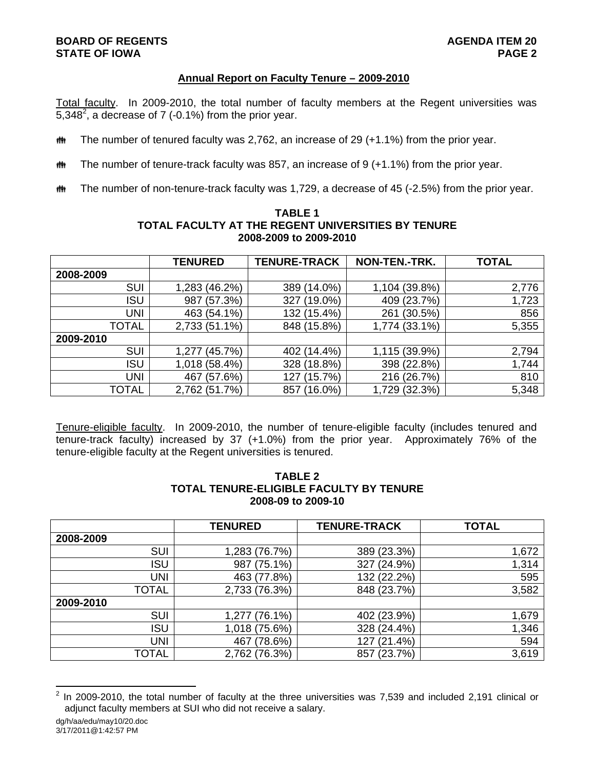## **BOARD OF REGENTS AGENDA ITEM 20 STATE OF IOWA**

## **Annual Report on Faculty Tenure – 2009-2010**

Total faculty. In 2009-2010, the total number of faculty members at the Regent universities was 5,348<sup>2</sup>, a decrease of 7 (-0.1%) from the prior year.

- **##** The number of tenured faculty was 2,762, an increase of 29 (+1.1%) from the prior year.
- $\ddot{\mathbf{m}}$  The number of tenure-track faculty was 857, an increase of 9 (+1.1%) from the prior year.
- $m$  The number of non-tenure-track faculty was 1,729, a decrease of 45 (-2.5%) from the prior year.

|              | <b>TENURED</b> | <b>TENURE-TRACK</b> | NON-TEN.-TRK.  | <b>TOTAL</b> |
|--------------|----------------|---------------------|----------------|--------------|
| 2008-2009    |                |                     |                |              |
| <b>SUI</b>   | 1,283 (46.2%)  | 389 (14.0%)         | 1,104 (39.8%)  | 2,776        |
| ISU          | 987 (57.3%)    | $(19.0\%)$<br>327   | (23.7%)<br>409 | 1,723        |
| UNI          | 463 (54.1%)    | 132 (15.4%)         | (30.5%)<br>261 | 856          |
| <b>TOTAL</b> | 2,733 (51.1%)  | 848 (15.8%)         | 1,774 (33.1%)  | 5,355        |
| 2009-2010    |                |                     |                |              |
| <b>SUI</b>   | 1,277 (45.7%)  | 402 (14.4%)         | 1,115 (39.9%)  | 2,794        |
| <b>ISU</b>   | 1,018 (58.4%)  | $(18.8\%)$<br>328   | 398 (22.8%)    | 1,744        |
| UNI          | 467 (57.6%)    | (15.7%)<br>127      | 216 (26.7%)    | 810          |
| <b>TOTAL</b> | 2,762 (51.7%)  | $(16.0\%)$<br>857   | 1,729 (32.3%)  | 5,348        |

### **TABLE 1 TOTAL FACULTY AT THE REGENT UNIVERSITIES BY TENURE 2008-2009 to 2009-2010**

Tenure-eligible faculty. In 2009-2010, the number of tenure-eligible faculty (includes tenured and tenure-track faculty) increased by 37 (+1.0%) from the prior year. Approximately 76% of the tenure-eligible faculty at the Regent universities is tenured.

## **TABLE 2 TOTAL TENURE-ELIGIBLE FACULTY BY TENURE 2008-09 to 2009-10**

|              | <b>TENURED</b>    | <b>TENURE-TRACK</b> | <b>TOTAL</b> |
|--------------|-------------------|---------------------|--------------|
| 2008-2009    |                   |                     |              |
| <b>SUI</b>   | 1,283 (76.7%)     | 389 (23.3%)         | 1,672        |
| <b>ISU</b>   | $(75.1\%)$<br>987 | 327 (24.9%)         | 1,314        |
| <b>UNI</b>   | 463 (77.8%)       | 132 (22.2%)         | 595          |
| <b>TOTAL</b> | 2,733 (76.3%)     | 848 (23.7%)         | 3,582        |
| 2009-2010    |                   |                     |              |
| SUI          | 1,277 (76.1%)     | 402 (23.9%)         | 1,679        |
| <b>ISU</b>   | 1,018 (75.6%)     | 328 (24.4%)         | 1,346        |
| <b>UNI</b>   | (78.6%)<br>467    | 127 (21.4%)         | 594          |
| TOTAL        | 2,762 (76.3%)     | 857 (23.7%)         | 3,619        |

 $\frac{1}{2}$  In 2009-2010, the total number of faculty at the three universities was 7,539 and included 2,191 clinical or adjunct faculty members at SUI who did not receive a salary.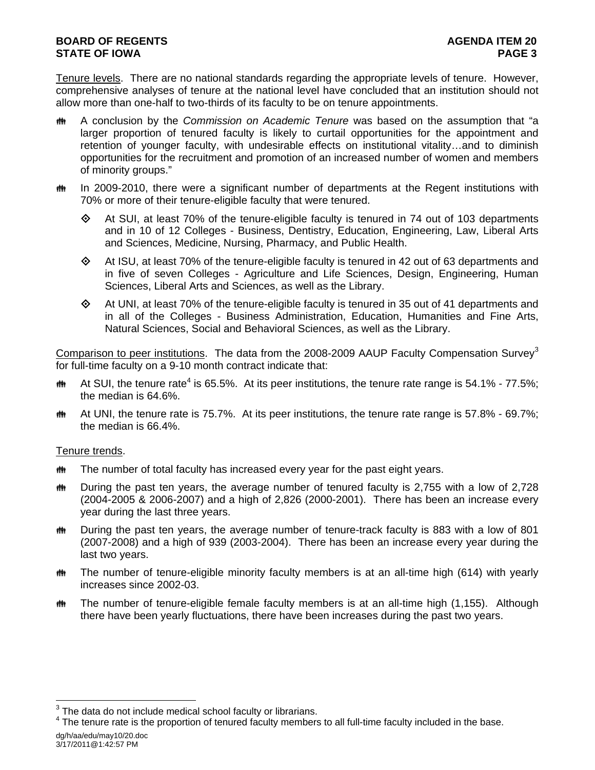# **BOARD OF REGENTS AGENUS AGENDA ITEM 20 STATE OF IOWA** PAGE 3

Tenure levels. There are no national standards regarding the appropriate levels of tenure. However, comprehensive analyses of tenure at the national level have concluded that an institution should not allow more than one-half to two-thirds of its faculty to be on tenure appointments.

- A conclusion by the *Commission on Academic Tenure* was based on the assumption that "a larger proportion of tenured faculty is likely to curtail opportunities for the appointment and retention of younger faculty, with undesirable effects on institutional vitality…and to diminish opportunities for the recruitment and promotion of an increased number of women and members of minority groups."
- $\ddot{\mathbf{m}}$  In 2009-2010, there were a significant number of departments at the Regent institutions with 70% or more of their tenure-eligible faculty that were tenured.
	- $\diamond$  At SUI, at least 70% of the tenure-eligible faculty is tenured in 74 out of 103 departments and in 10 of 12 Colleges - Business, Dentistry, Education, Engineering, Law, Liberal Arts and Sciences, Medicine, Nursing, Pharmacy, and Public Health.
	- $\diamond$  At ISU, at least 70% of the tenure-eligible faculty is tenured in 42 out of 63 departments and in five of seven Colleges - Agriculture and Life Sciences, Design, Engineering, Human Sciences, Liberal Arts and Sciences, as well as the Library.
	- $\diamond$  At UNI, at least 70% of the tenure-eligible faculty is tenured in 35 out of 41 departments and in all of the Colleges - Business Administration, Education, Humanities and Fine Arts, Natural Sciences, Social and Behavioral Sciences, as well as the Library.

Comparison to peer institutions. The data from the 2008-2009 AAUP Faculty Compensation Survey<sup>3</sup> for full-time faculty on a 9-10 month contract indicate that:

- $\text{m}$  At SUI, the tenure rate<sup>4</sup> is 65.5%. At its peer institutions, the tenure rate range is 54.1% 77.5%; the median is 64.6%.
- $\ddot{\mathbf{m}}$  At UNI, the tenure rate is 75.7%. At its peer institutions, the tenure rate range is 57.8% 69.7%; the median is 66.4%.

### Tenure trends.

l

- **##** The number of total faculty has increased every year for the past eight years.
- $\ddot{\mathbf{m}}$  During the past ten years, the average number of tenured faculty is 2,755 with a low of 2,728 (2004-2005 & 2006-2007) and a high of 2,826 (2000-2001). There has been an increase every year during the last three years.
- **##** During the past ten years, the average number of tenure-track faculty is 883 with a low of 801 (2007-2008) and a high of 939 (2003-2004). There has been an increase every year during the last two years.
- The number of tenure-eligible minority faculty members is at an all-time high (614) with yearly increases since 2002-03.
- **##** The number of tenure-eligible female faculty members is at an all-time high (1,155). Although there have been yearly fluctuations, there have been increases during the past two years.

 $3$  The data do not include medical school faculty or librarians.

dg/h/aa/edu/may10/20.doc 3/17/2011@1:42:57 PM  $4$  The tenure rate is the proportion of tenured faculty members to all full-time faculty included in the base.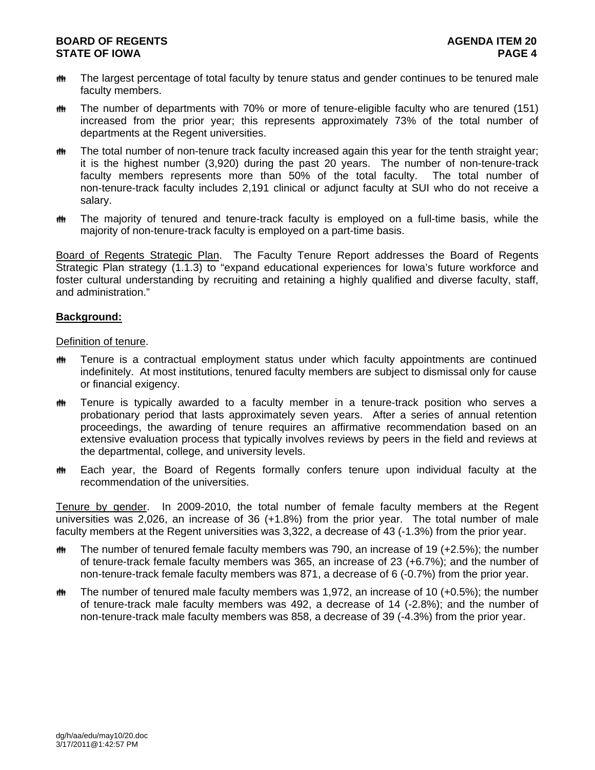- **##** The largest percentage of total faculty by tenure status and gender continues to be tenured male faculty members.
- **##** The number of departments with 70% or more of tenure-eligible faculty who are tenured (151) increased from the prior year; this represents approximately 73% of the total number of departments at the Regent universities.
- **##** The total number of non-tenure track faculty increased again this year for the tenth straight year; it is the highest number (3,920) during the past 20 years. The number of non-tenure-track faculty members represents more than 50% of the total faculty. The total number of non-tenure-track faculty includes 2,191 clinical or adjunct faculty at SUI who do not receive a salary.
- **##** The majority of tenured and tenure-track faculty is employed on a full-time basis, while the majority of non-tenure-track faculty is employed on a part-time basis.

Board of Regents Strategic Plan. The Faculty Tenure Report addresses the Board of Regents Strategic Plan strategy (1.1.3) to "expand educational experiences for Iowa's future workforce and foster cultural understanding by recruiting and retaining a highly qualified and diverse faculty, staff, and administration."

### **Background:**

Definition of tenure.

- **##** Tenure is a contractual employment status under which faculty appointments are continued indefinitely. At most institutions, tenured faculty members are subject to dismissal only for cause or financial exigency.
- Tenure is typically awarded to a faculty member in a tenure-track position who serves a probationary period that lasts approximately seven years. After a series of annual retention proceedings, the awarding of tenure requires an affirmative recommendation based on an extensive evaluation process that typically involves reviews by peers in the field and reviews at the departmental, college, and university levels.
- **##** Each year, the Board of Regents formally confers tenure upon individual faculty at the recommendation of the universities.

Tenure by gender. In 2009-2010, the total number of female faculty members at the Regent universities was 2,026, an increase of 36 (+1.8%) from the prior year. The total number of male faculty members at the Regent universities was 3,322, a decrease of 43 (-1.3%) from the prior year.

- $\ddot{\mathbf{m}}$  The number of tenured female faculty members was 790, an increase of 19 (+2.5%); the number of tenure-track female faculty members was 365, an increase of 23 (+6.7%); and the number of non-tenure-track female faculty members was 871, a decrease of 6 (-0.7%) from the prior year.
- $m$  The number of tenured male faculty members was 1,972, an increase of 10 (+0.5%); the number of tenure-track male faculty members was 492, a decrease of 14 (-2.8%); and the number of non-tenure-track male faculty members was 858, a decrease of 39 (-4.3%) from the prior year.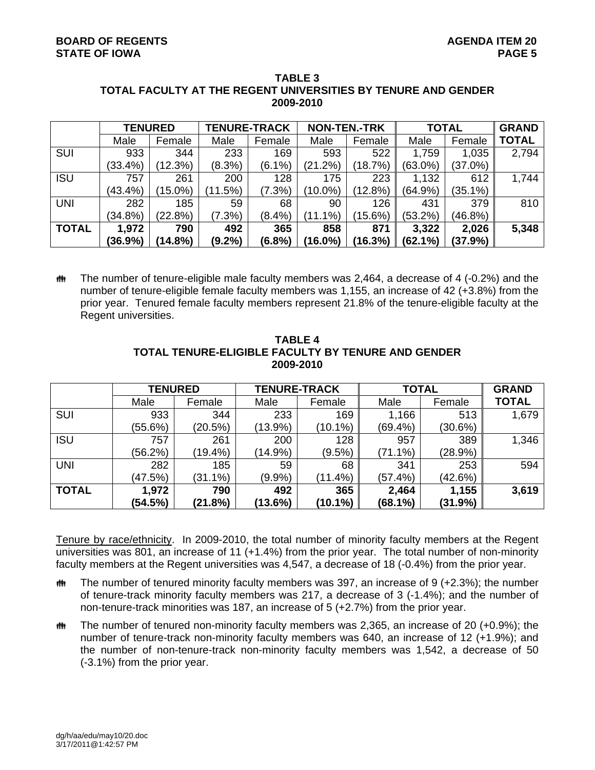|              | <b>TENURED</b> |            |           | <b>TENURE-TRACK</b> |            | <b>NON-TEN.-TRK</b> |            | <b>TOTAL</b> |              |
|--------------|----------------|------------|-----------|---------------------|------------|---------------------|------------|--------------|--------------|
|              | Male           | Female     | Male      | Female              | Male       | Female              | Male       | Female       | <b>TOTAL</b> |
| SUI          | 933            | 344        | 233       | 169                 | 593        | 522                 | 1,759      | 1,035        | 2,794        |
|              | $(33.4\%)$     | (12.3%)    | (8.3%)    | $(6.1\%)$           | (21.2%)    | (18.7%)             | (63.0%)    | (37.0%)      |              |
| <b>ISU</b>   | 757            | 261        | 200       | 128                 | 175        | 223                 | 1,132      | 612          | 1,744        |
|              | $(43.4\%)$     | $(15.0\%)$ | (11.5%)   | $(7.3\%)$           | (10.0%)    | (12.8%)             | (64.9%)    | (35.1%)      |              |
| <b>UNI</b>   | 282            | 185        | 59        | 68                  | 90         | 126                 | 431        | 379          | 810          |
|              | $(34.8\%)$     | (22.8%)    | (7.3%)    | $(8.4\%)$           | $(11.1\%)$ | (15.6%)             | $(53.2\%)$ | $(46.8\%)$   |              |
| <b>TOTAL</b> | 1,972          | 790        | 492       | 365                 | 858        | 871                 | 3,322      | 2,026        | 5,348        |
|              | (36.9%)        | (14.8%)    | $(9.2\%)$ | (6.8%)              | (16.0%)    | (16.3%)             | (62.1%)    | (37.9%)      |              |

#### **TABLE 3 TOTAL FACULTY AT THE REGENT UNIVERSITIES BY TENURE AND GENDER 2009-2010**

 $m$  The number of tenure-eligible male faculty members was 2,464, a decrease of 4 (-0.2%) and the number of tenure-eligible female faculty members was 1,155, an increase of 42 (+3.8%) from the prior year. Tenured female faculty members represent 21.8% of the tenure-eligible faculty at the Regent universities.

|              | <b>TENURED</b> |            |            | <b>TENURE-TRACK</b> |            | <b>TOTAL</b> |              |  |
|--------------|----------------|------------|------------|---------------------|------------|--------------|--------------|--|
|              | Male           | Female     | Male       | Female              | Male       | Female       | <b>TOTAL</b> |  |
| SUI          | 933            | 344        | 233        | 169                 | 1,166      | 513          | 1,679        |  |
|              | (55.6%)        | (20.5%)    | $(13.9\%)$ | $(10.1\%)$          | (69.4%     | (30.6%)      |              |  |
| <b>ISU</b>   | 757            | 261        | 200        | 128                 | 957        | 389          | 1,346        |  |
|              | (56.2%)        | $(19.4\%)$ | $(14.9\%)$ | $(9.5\%)$           | $(71.1\%)$ | (28.9%)      |              |  |
| <b>UNI</b>   | 282            | 185        | 59         | 68                  | 341        | 253          | 594          |  |
|              | (47.5%)        | $(31.1\%)$ | (9.9%      | $(11.4\%)$          | (57.4%)    | (42.6%)      |              |  |
| <b>TOTAL</b> | 1,972          | 790        | 492        | 365                 | 2,464      | 1,155        | 3,619        |  |
|              | (54.5%)        | (21.8%)    | (13.6%)    | (10.1%)             | (68.1%)    | (31.9%)      |              |  |

**TABLE 4 TOTAL TENURE-ELIGIBLE FACULTY BY TENURE AND GENDER 2009-2010** 

Tenure by race/ethnicity. In 2009-2010, the total number of minority faculty members at the Regent universities was 801, an increase of 11 (+1.4%) from the prior year. The total number of non-minority faculty members at the Regent universities was 4,547, a decrease of 18 (-0.4%) from the prior year.

- **##** The number of tenured minority faculty members was 397, an increase of 9 (+2.3%); the number of tenure-track minority faculty members was 217, a decrease of 3 (-1.4%); and the number of non-tenure-track minorities was 187, an increase of 5 (+2.7%) from the prior year.
- $m$  The number of tenured non-minority faculty members was 2,365, an increase of 20 (+0.9%); the number of tenure-track non-minority faculty members was 640, an increase of 12 (+1.9%); and the number of non-tenure-track non-minority faculty members was 1,542, a decrease of 50 (-3.1%) from the prior year.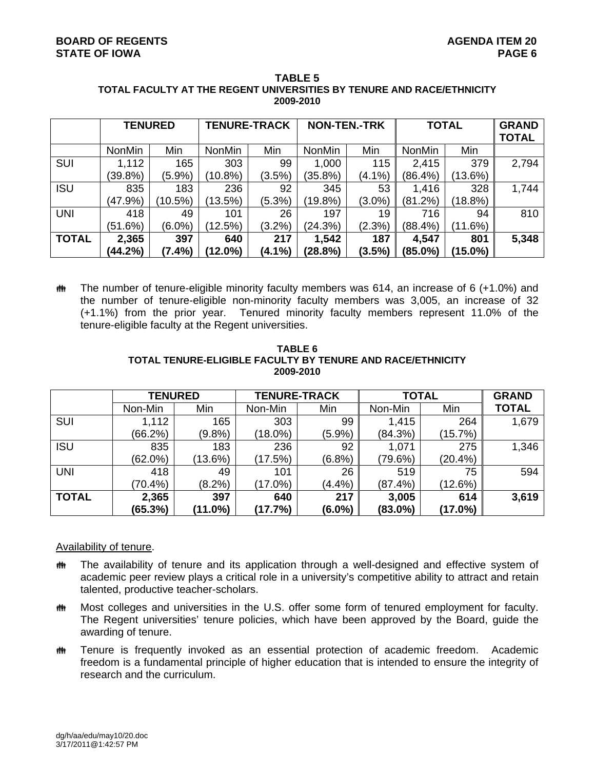| <b>TABLE 5</b>                                                        |  |  |  |  |  |
|-----------------------------------------------------------------------|--|--|--|--|--|
| TOTAL FACULTY AT THE REGENT UNIVERSITIES BY TENURE AND RACE/ETHNICITY |  |  |  |  |  |
| 2009-2010                                                             |  |  |  |  |  |

|              | <b>TENURED</b> |            | <b>TENURE-TRACK</b> |           | <b>NON-TEN.-TRK</b> |           | <b>TOTAL</b>  |         | <b>GRAND</b><br><b>TOTAL</b> |
|--------------|----------------|------------|---------------------|-----------|---------------------|-----------|---------------|---------|------------------------------|
|              | <b>NonMin</b>  | Min        | <b>NonMin</b>       | Min       | <b>NonMin</b>       | Min       | <b>NonMin</b> | Min     |                              |
| <b>SUI</b>   | 1,112          | 165        | 303                 | 99        | 1,000               | 115       | 2,415         | 379     | 2,794                        |
|              | (39.8%)        | (5.9%)     | $(10.8\%)$          | $(3.5\%)$ | (35.8%)             | $(4.1\%)$ | (86.4%)       | (13.6%) |                              |
| <b>ISU</b>   | 835            | 183        | 236                 | 92        | 345                 | 53        | 1,416         | 328     | 1,744                        |
|              | (47.9%)        | $(10.5\%)$ | (13.5%)             | $(5.3\%)$ | (19.8%)             | $(3.0\%)$ | (81.2%)       | (18.8%) |                              |
| <b>UNI</b>   | 418            | 49         | 101                 | 26        | 197                 | 19        | 716           | 94      | 810                          |
|              | (51.6%)        | $(6.0\%)$  | (12.5%)             | $(3.2\%)$ | (24.3%)             | (2.3%)    | (88.4%)       | (11.6%) |                              |
| <b>TOTAL</b> | 2,365          | 397        | 640                 | 217       | 1,542               | 187       | 4,547         | 801     | 5,348                        |
|              | (44.2%)        | (7.4%)     | (12.0%)             | (4.1%)    | (28.8%)             | (3.5%)    | (85.0%)       | (15.0%) |                              |

**##** The number of tenure-eligible minority faculty members was 614, an increase of 6 (+1.0%) and the number of tenure-eligible non-minority faculty members was 3,005, an increase of 32 (+1.1%) from the prior year. Tenured minority faculty members represent 11.0% of the tenure-eligible faculty at the Regent universities.

|              |                |            | 2009-2010           |           |              |              |              |
|--------------|----------------|------------|---------------------|-----------|--------------|--------------|--------------|
|              | <b>TENURED</b> |            | <b>TENURE-TRACK</b> |           | <b>TOTAL</b> | <b>GRAND</b> |              |
|              | Non-Min        | Min        | Non-Min             | Min       | Non-Min      | Min          | <b>TOTAL</b> |
| <b>SUI</b>   | 1,112          | 165        | 303                 | 99        | 1,415        | 264          | 1,679        |
|              | (66.2%)        | $(9.8\%)$  | (18.0%)             | $(5.9\%)$ | (84.3%)      | (15.7%)      |              |
| <b>ISU</b>   | 835            | 183        | 236                 | 92        | 1,071        | 275          | 1,346        |
|              | (62.0%)        | $(13.6\%)$ | (17.5%)             | $(6.8\%)$ | (79.6%)      | (20.4%)      |              |
| <b>UNI</b>   | 418            | 49         | 101                 | 26        | 519          | 75           | 594          |
|              | $(70.4\%)$     | $(8.2\%)$  | (17.0%)             | (4.4%)    | (87.4%)      | (12.6%)      |              |
| <b>TOTAL</b> | 2,365          | 397        | 640                 | 217       | 3,005        | 614          | 3,619        |
|              | (65.3%)        | (11.0%)    | (17.7%)             | $(6.0\%)$ | $(83.0\%)$   | (17.0%)      |              |

**TABLE 6 TOTAL TENURE-ELIGIBLE FACULTY BY TENURE AND RACE/ETHNICITY 2009-2010** 

### Availability of tenure.

- **##** The availability of tenure and its application through a well-designed and effective system of academic peer review plays a critical role in a university's competitive ability to attract and retain talented, productive teacher-scholars.
- **##** Most colleges and universities in the U.S. offer some form of tenured employment for faculty. The Regent universities' tenure policies, which have been approved by the Board, guide the awarding of tenure.
- **##** Tenure is frequently invoked as an essential protection of academic freedom. Academic freedom is a fundamental principle of higher education that is intended to ensure the integrity of research and the curriculum.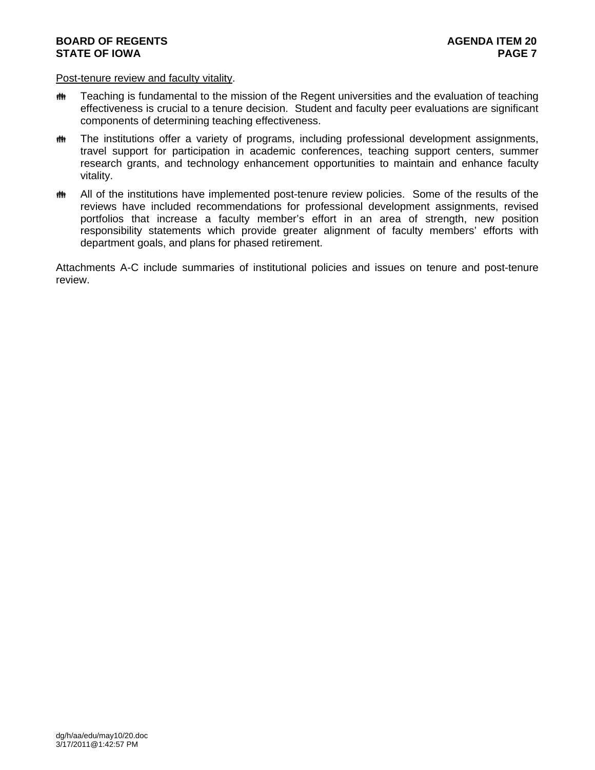## **BOARD OF REGENTS AGENUS AGENDA ITEM 20 STATE OF IOWA** PAGE 7

#### Post-tenure review and faculty vitality.

- **##** Teaching is fundamental to the mission of the Regent universities and the evaluation of teaching effectiveness is crucial to a tenure decision. Student and faculty peer evaluations are significant components of determining teaching effectiveness.
- **##** The institutions offer a variety of programs, including professional development assignments, travel support for participation in academic conferences, teaching support centers, summer research grants, and technology enhancement opportunities to maintain and enhance faculty vitality.
- **##** All of the institutions have implemented post-tenure review policies. Some of the results of the reviews have included recommendations for professional development assignments, revised portfolios that increase a faculty member's effort in an area of strength, new position responsibility statements which provide greater alignment of faculty members' efforts with department goals, and plans for phased retirement.

Attachments A-C include summaries of institutional policies and issues on tenure and post-tenure review.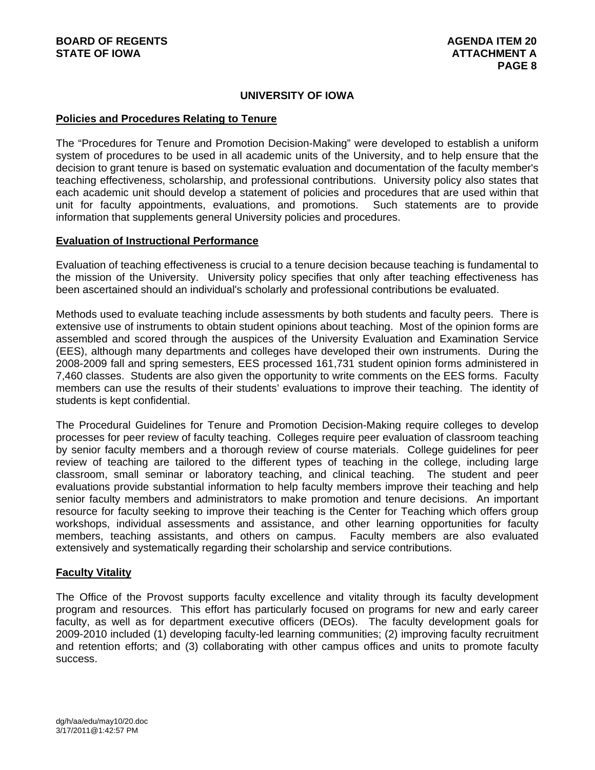# **UNIVERSITY OF IOWA**

#### **Policies and Procedures Relating to Tenure**

The "Procedures for Tenure and Promotion Decision-Making" were developed to establish a uniform system of procedures to be used in all academic units of the University, and to help ensure that the decision to grant tenure is based on systematic evaluation and documentation of the faculty member's teaching effectiveness, scholarship, and professional contributions. University policy also states that each academic unit should develop a statement of policies and procedures that are used within that unit for faculty appointments, evaluations, and promotions. Such statements are to provide information that supplements general University policies and procedures.

#### **Evaluation of Instructional Performance**

Evaluation of teaching effectiveness is crucial to a tenure decision because teaching is fundamental to the mission of the University. University policy specifies that only after teaching effectiveness has been ascertained should an individual's scholarly and professional contributions be evaluated.

Methods used to evaluate teaching include assessments by both students and faculty peers. There is extensive use of instruments to obtain student opinions about teaching. Most of the opinion forms are assembled and scored through the auspices of the University Evaluation and Examination Service (EES), although many departments and colleges have developed their own instruments. During the 2008-2009 fall and spring semesters, EES processed 161,731 student opinion forms administered in 7,460 classes. Students are also given the opportunity to write comments on the EES forms. Faculty members can use the results of their students' evaluations to improve their teaching. The identity of students is kept confidential.

The Procedural Guidelines for Tenure and Promotion Decision-Making require colleges to develop processes for peer review of faculty teaching. Colleges require peer evaluation of classroom teaching by senior faculty members and a thorough review of course materials. College guidelines for peer review of teaching are tailored to the different types of teaching in the college, including large classroom, small seminar or laboratory teaching, and clinical teaching. The student and peer evaluations provide substantial information to help faculty members improve their teaching and help senior faculty members and administrators to make promotion and tenure decisions. An important resource for faculty seeking to improve their teaching is the Center for Teaching which offers group workshops, individual assessments and assistance, and other learning opportunities for faculty members, teaching assistants, and others on campus. Faculty members are also evaluated extensively and systematically regarding their scholarship and service contributions.

### **Faculty Vitality**

The Office of the Provost supports faculty excellence and vitality through its faculty development program and resources. This effort has particularly focused on programs for new and early career faculty, as well as for department executive officers (DEOs). The faculty development goals for 2009-2010 included (1) developing faculty-led learning communities; (2) improving faculty recruitment and retention efforts; and (3) collaborating with other campus offices and units to promote faculty success.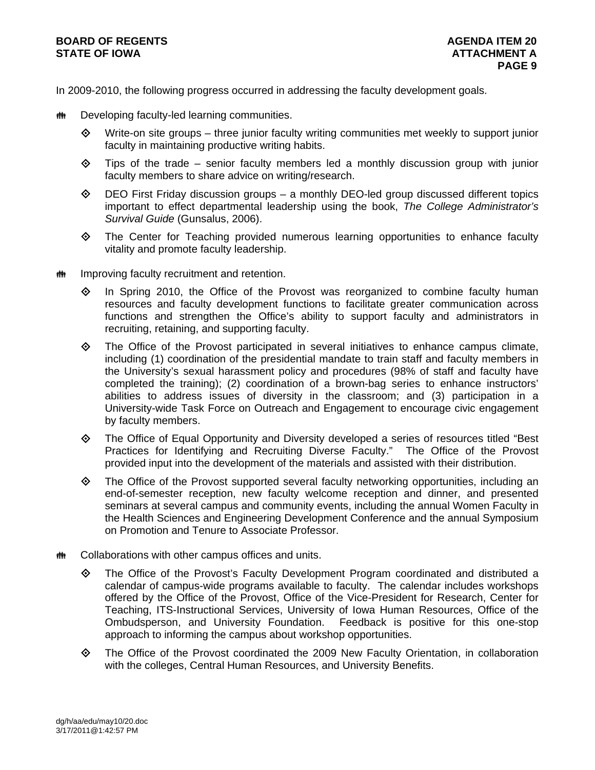# **BOARD OF REGENTS AGENERAL LIGE AGENERAL LIGE AGENERAL LIGE AGENERAL LIGE AGENERAL 20** STATE OF IOWA **ATTACHMENT A**

In 2009-2010, the following progress occurred in addressing the faculty development goals.

- **## Developing faculty-led learning communities.** 
	- $\Leftrightarrow$  Write-on site groups three junior faculty writing communities met weekly to support junior faculty in maintaining productive writing habits.
	- $\diamond$  Tips of the trade senior faculty members led a monthly discussion group with junior faculty members to share advice on writing/research.
	- $\diamond$  DEO First Friday discussion groups a monthly DEO-led group discussed different topics important to effect departmental leadership using the book, *The College Administrator's Survival Guide* (Gunsalus, 2006).
	- $\Leftrightarrow$  The Center for Teaching provided numerous learning opportunities to enhance faculty vitality and promote faculty leadership.
- **INGLET 14** Improving faculty recruitment and retention.
	- $\Diamond$  In Spring 2010, the Office of the Provost was reorganized to combine faculty human resources and faculty development functions to facilitate greater communication across functions and strengthen the Office's ability to support faculty and administrators in recruiting, retaining, and supporting faculty.
	- $\Leftrightarrow$  The Office of the Provost participated in several initiatives to enhance campus climate, including (1) coordination of the presidential mandate to train staff and faculty members in the University's sexual harassment policy and procedures (98% of staff and faculty have completed the training); (2) coordination of a brown-bag series to enhance instructors' abilities to address issues of diversity in the classroom; and (3) participation in a University-wide Task Force on Outreach and Engagement to encourage civic engagement by faculty members.
	- The Office of Equal Opportunity and Diversity developed a series of resources titled "Best Practices for Identifying and Recruiting Diverse Faculty." The Office of the Provost provided input into the development of the materials and assisted with their distribution.
	- The Office of the Provost supported several faculty networking opportunities, including an end-of-semester reception, new faculty welcome reception and dinner, and presented seminars at several campus and community events, including the annual Women Faculty in the Health Sciences and Engineering Development Conference and the annual Symposium on Promotion and Tenure to Associate Professor.
- **## Collaborations with other campus offices and units.** 
	- The Office of the Provost's Faculty Development Program coordinated and distributed a calendar of campus-wide programs available to faculty. The calendar includes workshops offered by the Office of the Provost, Office of the Vice-President for Research, Center for Teaching, ITS-Instructional Services, University of Iowa Human Resources, Office of the Ombudsperson, and University Foundation. Feedback is positive for this one-stop approach to informing the campus about workshop opportunities.
	- The Office of the Provost coordinated the 2009 New Faculty Orientation, in collaboration with the colleges, Central Human Resources, and University Benefits.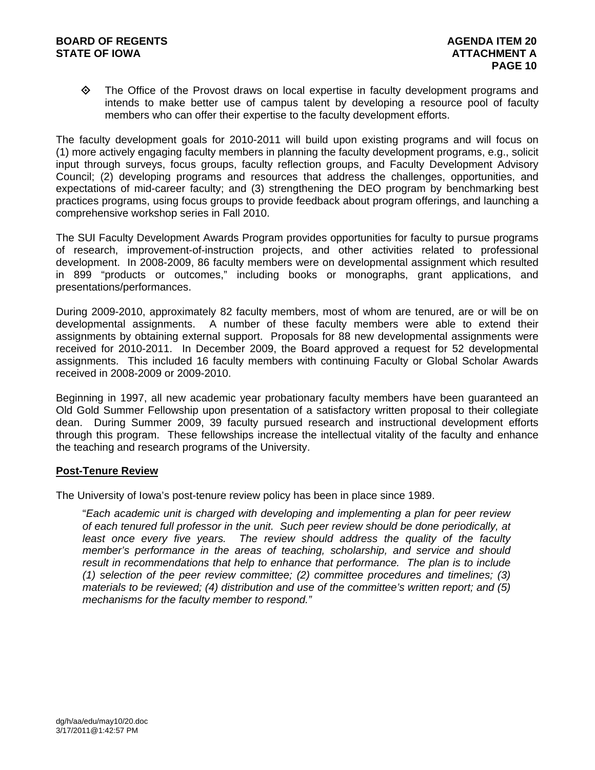The Office of the Provost draws on local expertise in faculty development programs and intends to make better use of campus talent by developing a resource pool of faculty members who can offer their expertise to the faculty development efforts.

The faculty development goals for 2010-2011 will build upon existing programs and will focus on (1) more actively engaging faculty members in planning the faculty development programs, e.g., solicit input through surveys, focus groups, faculty reflection groups, and Faculty Development Advisory Council; (2) developing programs and resources that address the challenges, opportunities, and expectations of mid-career faculty; and (3) strengthening the DEO program by benchmarking best practices programs, using focus groups to provide feedback about program offerings, and launching a comprehensive workshop series in Fall 2010.

The SUI Faculty Development Awards Program provides opportunities for faculty to pursue programs of research, improvement-of-instruction projects, and other activities related to professional development. In 2008-2009, 86 faculty members were on developmental assignment which resulted in 899 "products or outcomes," including books or monographs, grant applications, and presentations/performances.

During 2009-2010, approximately 82 faculty members, most of whom are tenured, are or will be on developmental assignments. A number of these faculty members were able to extend their assignments by obtaining external support. Proposals for 88 new developmental assignments were received for 2010-2011. In December 2009, the Board approved a request for 52 developmental assignments. This included 16 faculty members with continuing Faculty or Global Scholar Awards received in 2008-2009 or 2009-2010.

Beginning in 1997, all new academic year probationary faculty members have been guaranteed an Old Gold Summer Fellowship upon presentation of a satisfactory written proposal to their collegiate dean. During Summer 2009, 39 faculty pursued research and instructional development efforts through this program. These fellowships increase the intellectual vitality of the faculty and enhance the teaching and research programs of the University.

### **Post-Tenure Review**

The University of Iowa's post-tenure review policy has been in place since 1989.

"*Each academic unit is charged with developing and implementing a plan for peer review of each tenured full professor in the unit. Such peer review should be done periodically, at*  least once every five years. The review should address the quality of the faculty *member's performance in the areas of teaching, scholarship, and service and should result in recommendations that help to enhance that performance. The plan is to include (1) selection of the peer review committee; (2) committee procedures and timelines; (3) materials to be reviewed; (4) distribution and use of the committee's written report; and (5) mechanisms for the faculty member to respond."*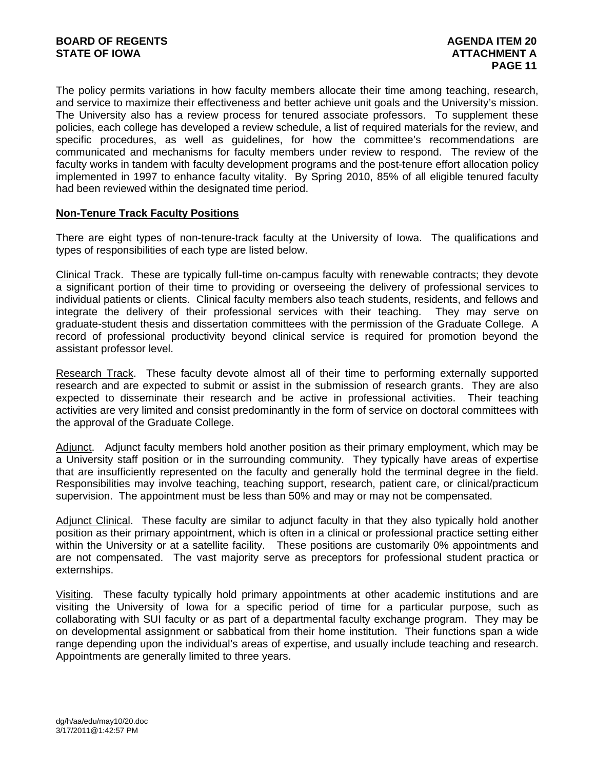The policy permits variations in how faculty members allocate their time among teaching, research, and service to maximize their effectiveness and better achieve unit goals and the University's mission. The University also has a review process for tenured associate professors. To supplement these policies, each college has developed a review schedule, a list of required materials for the review, and specific procedures, as well as guidelines, for how the committee's recommendations are communicated and mechanisms for faculty members under review to respond. The review of the faculty works in tandem with faculty development programs and the post-tenure effort allocation policy implemented in 1997 to enhance faculty vitality. By Spring 2010, 85% of all eligible tenured faculty had been reviewed within the designated time period.

### **Non-Tenure Track Faculty Positions**

There are eight types of non-tenure-track faculty at the University of Iowa. The qualifications and types of responsibilities of each type are listed below.

Clinical Track. These are typically full-time on-campus faculty with renewable contracts; they devote a significant portion of their time to providing or overseeing the delivery of professional services to individual patients or clients. Clinical faculty members also teach students, residents, and fellows and integrate the delivery of their professional services with their teaching. They may serve on graduate-student thesis and dissertation committees with the permission of the Graduate College. A record of professional productivity beyond clinical service is required for promotion beyond the assistant professor level.

Research Track. These faculty devote almost all of their time to performing externally supported research and are expected to submit or assist in the submission of research grants. They are also expected to disseminate their research and be active in professional activities. Their teaching activities are very limited and consist predominantly in the form of service on doctoral committees with the approval of the Graduate College.

Adjunct. Adjunct faculty members hold another position as their primary employment, which may be a University staff position or in the surrounding community. They typically have areas of expertise that are insufficiently represented on the faculty and generally hold the terminal degree in the field. Responsibilities may involve teaching, teaching support, research, patient care, or clinical/practicum supervision. The appointment must be less than 50% and may or may not be compensated.

Adjunct Clinical. These faculty are similar to adjunct faculty in that they also typically hold another position as their primary appointment, which is often in a clinical or professional practice setting either within the University or at a satellite facility. These positions are customarily 0% appointments and are not compensated. The vast majority serve as preceptors for professional student practica or externships.

Visiting. These faculty typically hold primary appointments at other academic institutions and are visiting the University of Iowa for a specific period of time for a particular purpose, such as collaborating with SUI faculty or as part of a departmental faculty exchange program. They may be on developmental assignment or sabbatical from their home institution. Their functions span a wide range depending upon the individual's areas of expertise, and usually include teaching and research. Appointments are generally limited to three years.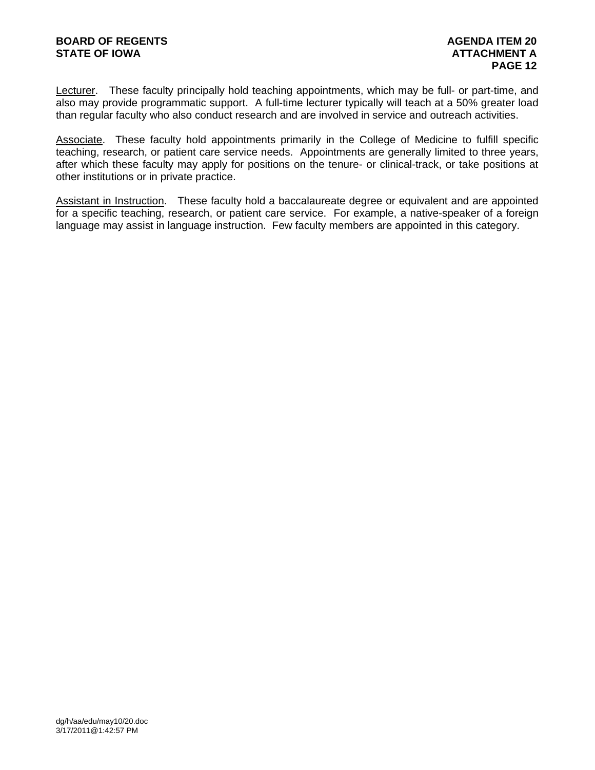Lecturer. These faculty principally hold teaching appointments, which may be full- or part-time, and also may provide programmatic support. A full-time lecturer typically will teach at a 50% greater load than regular faculty who also conduct research and are involved in service and outreach activities.

Associate. These faculty hold appointments primarily in the College of Medicine to fulfill specific teaching, research, or patient care service needs. Appointments are generally limited to three years, after which these faculty may apply for positions on the tenure- or clinical-track, or take positions at other institutions or in private practice.

Assistant in Instruction. These faculty hold a baccalaureate degree or equivalent and are appointed for a specific teaching, research, or patient care service. For example, a native-speaker of a foreign language may assist in language instruction. Few faculty members are appointed in this category.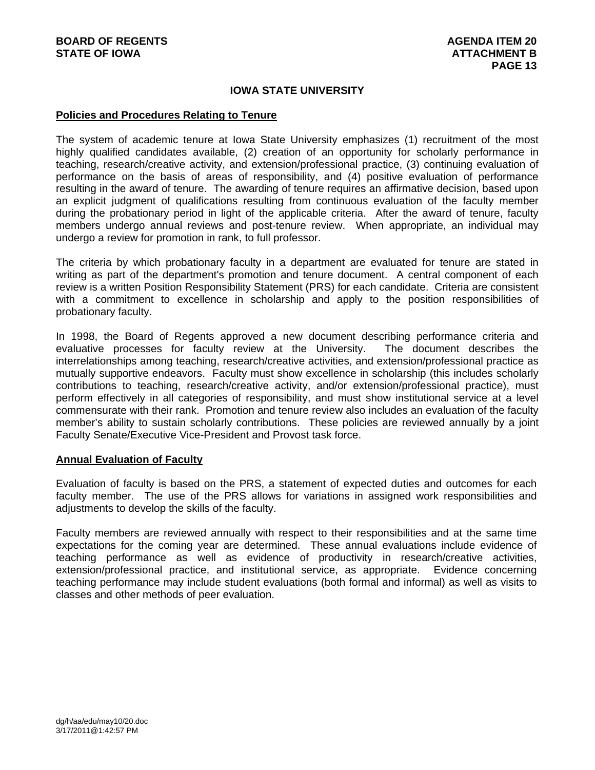### **IOWA STATE UNIVERSITY**

#### **Policies and Procedures Relating to Tenure**

The system of academic tenure at Iowa State University emphasizes (1) recruitment of the most highly qualified candidates available, (2) creation of an opportunity for scholarly performance in teaching, research/creative activity, and extension/professional practice, (3) continuing evaluation of performance on the basis of areas of responsibility, and (4) positive evaluation of performance resulting in the award of tenure. The awarding of tenure requires an affirmative decision, based upon an explicit judgment of qualifications resulting from continuous evaluation of the faculty member during the probationary period in light of the applicable criteria. After the award of tenure, faculty members undergo annual reviews and post-tenure review. When appropriate, an individual may undergo a review for promotion in rank, to full professor.

The criteria by which probationary faculty in a department are evaluated for tenure are stated in writing as part of the department's promotion and tenure document. A central component of each review is a written Position Responsibility Statement (PRS) for each candidate. Criteria are consistent with a commitment to excellence in scholarship and apply to the position responsibilities of probationary faculty.

In 1998, the Board of Regents approved a new document describing performance criteria and evaluative processes for faculty review at the University. The document describes the interrelationships among teaching, research/creative activities, and extension/professional practice as mutually supportive endeavors. Faculty must show excellence in scholarship (this includes scholarly contributions to teaching, research/creative activity, and/or extension/professional practice), must perform effectively in all categories of responsibility, and must show institutional service at a level commensurate with their rank. Promotion and tenure review also includes an evaluation of the faculty member's ability to sustain scholarly contributions. These policies are reviewed annually by a joint Faculty Senate/Executive Vice-President and Provost task force.

#### **Annual Evaluation of Faculty**

Evaluation of faculty is based on the PRS, a statement of expected duties and outcomes for each faculty member. The use of the PRS allows for variations in assigned work responsibilities and adjustments to develop the skills of the faculty.

Faculty members are reviewed annually with respect to their responsibilities and at the same time expectations for the coming year are determined. These annual evaluations include evidence of teaching performance as well as evidence of productivity in research/creative activities, extension/professional practice, and institutional service, as appropriate. Evidence concerning teaching performance may include student evaluations (both formal and informal) as well as visits to classes and other methods of peer evaluation.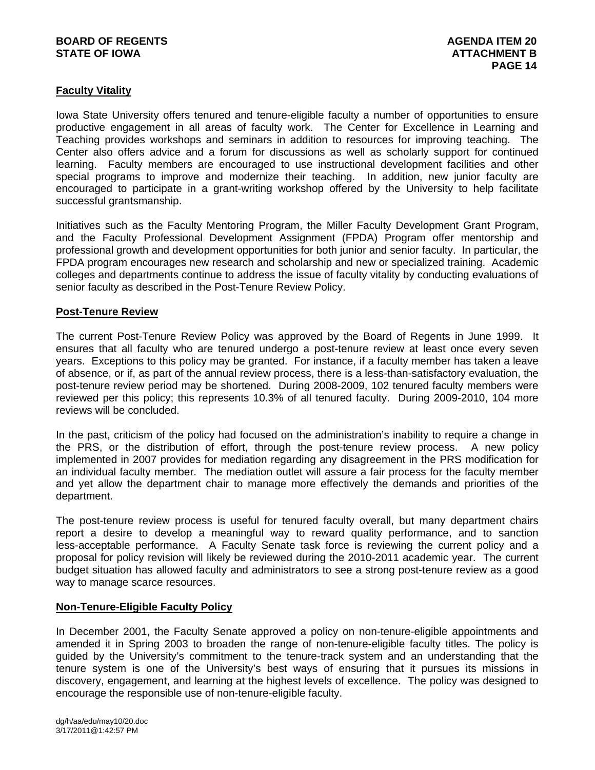## **BOARD OF REGENTS AGENUS AGENDA ITEM 20 STATE OF IOWA** AND **ATTACHMENT B**

# **Faculty Vitality**

Iowa State University offers tenured and tenure-eligible faculty a number of opportunities to ensure productive engagement in all areas of faculty work. The Center for Excellence in Learning and Teaching provides workshops and seminars in addition to resources for improving teaching. The Center also offers advice and a forum for discussions as well as scholarly support for continued learning. Faculty members are encouraged to use instructional development facilities and other special programs to improve and modernize their teaching. In addition, new junior faculty are encouraged to participate in a grant-writing workshop offered by the University to help facilitate successful grantsmanship.

Initiatives such as the Faculty Mentoring Program, the Miller Faculty Development Grant Program, and the Faculty Professional Development Assignment (FPDA) Program offer mentorship and professional growth and development opportunities for both junior and senior faculty. In particular, the FPDA program encourages new research and scholarship and new or specialized training. Academic colleges and departments continue to address the issue of faculty vitality by conducting evaluations of senior faculty as described in the Post-Tenure Review Policy.

## **Post-Tenure Review**

The current Post-Tenure Review Policy was approved by the Board of Regents in June 1999. It ensures that all faculty who are tenured undergo a post-tenure review at least once every seven years. Exceptions to this policy may be granted. For instance, if a faculty member has taken a leave of absence, or if, as part of the annual review process, there is a less-than-satisfactory evaluation, the post-tenure review period may be shortened. During 2008-2009, 102 tenured faculty members were reviewed per this policy; this represents 10.3% of all tenured faculty. During 2009-2010, 104 more reviews will be concluded.

In the past, criticism of the policy had focused on the administration's inability to require a change in the PRS, or the distribution of effort, through the post-tenure review process. A new policy implemented in 2007 provides for mediation regarding any disagreement in the PRS modification for an individual faculty member. The mediation outlet will assure a fair process for the faculty member and yet allow the department chair to manage more effectively the demands and priorities of the department.

The post-tenure review process is useful for tenured faculty overall, but many department chairs report a desire to develop a meaningful way to reward quality performance, and to sanction less-acceptable performance. A Faculty Senate task force is reviewing the current policy and a proposal for policy revision will likely be reviewed during the 2010-2011 academic year. The current budget situation has allowed faculty and administrators to see a strong post-tenure review as a good way to manage scarce resources.

### **Non-Tenure-Eligible Faculty Policy**

In December 2001, the Faculty Senate approved a policy on non-tenure-eligible appointments and amended it in Spring 2003 to broaden the range of non-tenure-eligible faculty titles. The policy is guided by the University's commitment to the tenure-track system and an understanding that the tenure system is one of the University's best ways of ensuring that it pursues its missions in discovery, engagement, and learning at the highest levels of excellence. The policy was designed to encourage the responsible use of non-tenure-eligible faculty.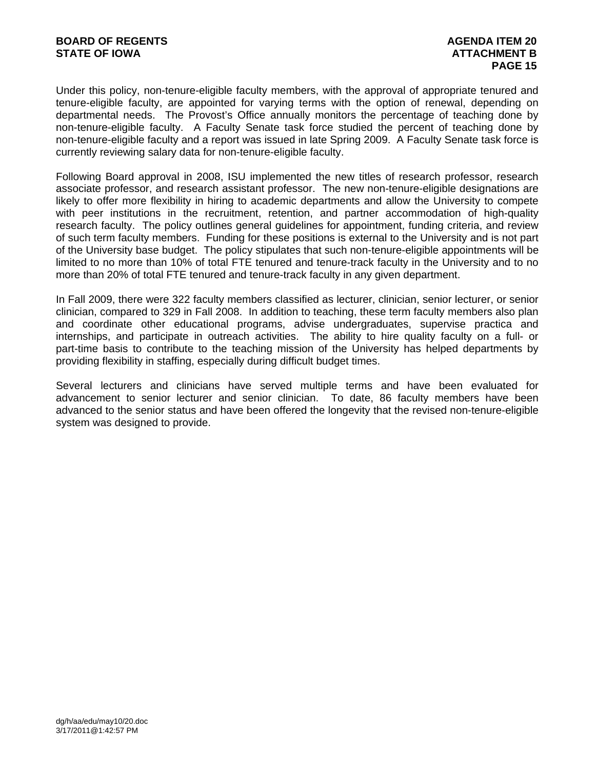Under this policy, non-tenure-eligible faculty members, with the approval of appropriate tenured and tenure-eligible faculty, are appointed for varying terms with the option of renewal, depending on departmental needs. The Provost's Office annually monitors the percentage of teaching done by non-tenure-eligible faculty. A Faculty Senate task force studied the percent of teaching done by non-tenure-eligible faculty and a report was issued in late Spring 2009. A Faculty Senate task force is currently reviewing salary data for non-tenure-eligible faculty.

Following Board approval in 2008, ISU implemented the new titles of research professor, research associate professor, and research assistant professor. The new non-tenure-eligible designations are likely to offer more flexibility in hiring to academic departments and allow the University to compete with peer institutions in the recruitment, retention, and partner accommodation of high-quality research faculty. The policy outlines general guidelines for appointment, funding criteria, and review of such term faculty members. Funding for these positions is external to the University and is not part of the University base budget. The policy stipulates that such non-tenure-eligible appointments will be limited to no more than 10% of total FTE tenured and tenure-track faculty in the University and to no more than 20% of total FTE tenured and tenure-track faculty in any given department.

In Fall 2009, there were 322 faculty members classified as lecturer, clinician, senior lecturer, or senior clinician, compared to 329 in Fall 2008. In addition to teaching, these term faculty members also plan and coordinate other educational programs, advise undergraduates, supervise practica and internships, and participate in outreach activities. The ability to hire quality faculty on a full- or part-time basis to contribute to the teaching mission of the University has helped departments by providing flexibility in staffing, especially during difficult budget times.

Several lecturers and clinicians have served multiple terms and have been evaluated for advancement to senior lecturer and senior clinician. To date, 86 faculty members have been advanced to the senior status and have been offered the longevity that the revised non-tenure-eligible system was designed to provide.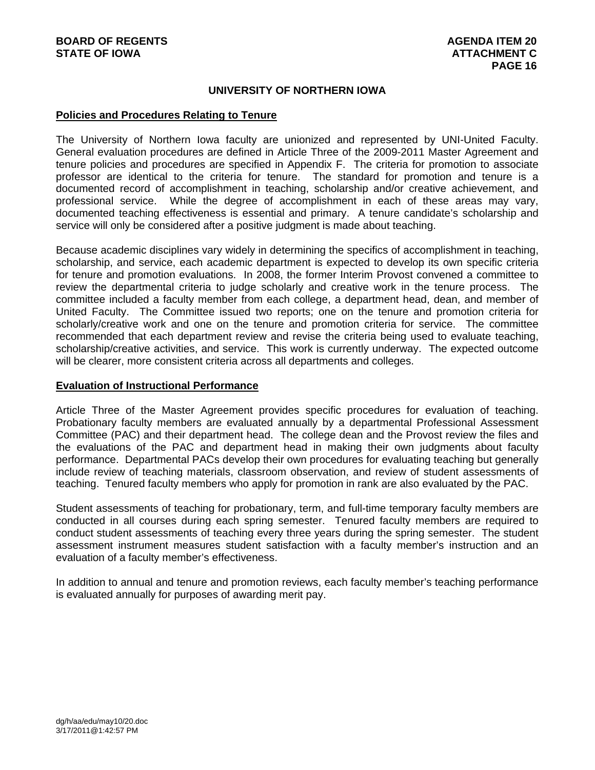### **UNIVERSITY OF NORTHERN IOWA**

### **Policies and Procedures Relating to Tenure**

The University of Northern Iowa faculty are unionized and represented by UNI-United Faculty. General evaluation procedures are defined in Article Three of the 2009-2011 Master Agreement and tenure policies and procedures are specified in Appendix F. The criteria for promotion to associate professor are identical to the criteria for tenure. The standard for promotion and tenure is a documented record of accomplishment in teaching, scholarship and/or creative achievement, and professional service. While the degree of accomplishment in each of these areas may vary, documented teaching effectiveness is essential and primary. A tenure candidate's scholarship and service will only be considered after a positive judgment is made about teaching.

Because academic disciplines vary widely in determining the specifics of accomplishment in teaching, scholarship, and service, each academic department is expected to develop its own specific criteria for tenure and promotion evaluations. In 2008, the former Interim Provost convened a committee to review the departmental criteria to judge scholarly and creative work in the tenure process. The committee included a faculty member from each college, a department head, dean, and member of United Faculty. The Committee issued two reports; one on the tenure and promotion criteria for scholarly/creative work and one on the tenure and promotion criteria for service. The committee recommended that each department review and revise the criteria being used to evaluate teaching, scholarship/creative activities, and service. This work is currently underway. The expected outcome will be clearer, more consistent criteria across all departments and colleges.

### **Evaluation of Instructional Performance**

Article Three of the Master Agreement provides specific procedures for evaluation of teaching. Probationary faculty members are evaluated annually by a departmental Professional Assessment Committee (PAC) and their department head. The college dean and the Provost review the files and the evaluations of the PAC and department head in making their own judgments about faculty performance. Departmental PACs develop their own procedures for evaluating teaching but generally include review of teaching materials, classroom observation, and review of student assessments of teaching. Tenured faculty members who apply for promotion in rank are also evaluated by the PAC.

Student assessments of teaching for probationary, term, and full-time temporary faculty members are conducted in all courses during each spring semester. Tenured faculty members are required to conduct student assessments of teaching every three years during the spring semester. The student assessment instrument measures student satisfaction with a faculty member's instruction and an evaluation of a faculty member's effectiveness.

In addition to annual and tenure and promotion reviews, each faculty member's teaching performance is evaluated annually for purposes of awarding merit pay.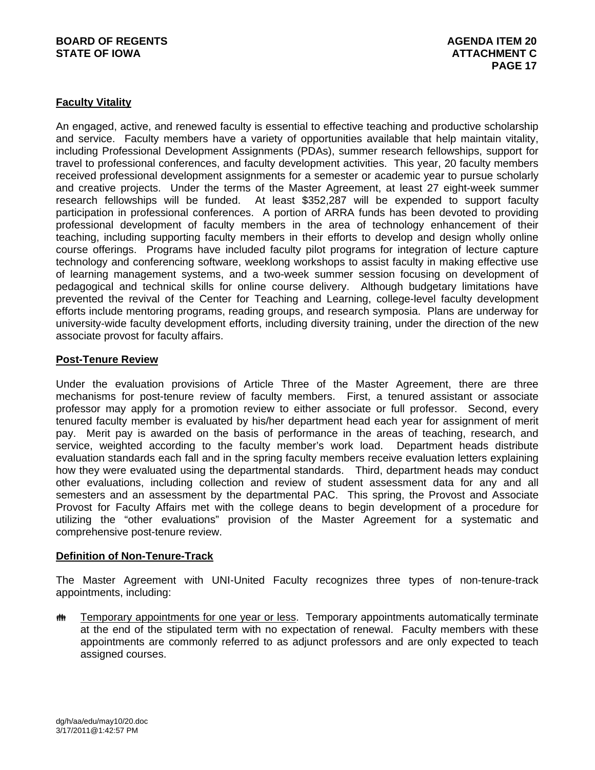## **BOARD OF REGENTS AGENERAL LIGE AGENERAL LIGE AGENERAL LIGE AGENERAL LIGE AGENERAL 20 STATE OF IOWA ATTACHMENT C**

## **Faculty Vitality**

An engaged, active, and renewed faculty is essential to effective teaching and productive scholarship and service. Faculty members have a variety of opportunities available that help maintain vitality, including Professional Development Assignments (PDAs), summer research fellowships, support for travel to professional conferences, and faculty development activities. This year, 20 faculty members received professional development assignments for a semester or academic year to pursue scholarly and creative projects. Under the terms of the Master Agreement, at least 27 eight-week summer research fellowships will be funded. At least \$352,287 will be expended to support faculty participation in professional conferences. A portion of ARRA funds has been devoted to providing professional development of faculty members in the area of technology enhancement of their teaching, including supporting faculty members in their efforts to develop and design wholly online course offerings. Programs have included faculty pilot programs for integration of lecture capture technology and conferencing software, weeklong workshops to assist faculty in making effective use of learning management systems, and a two-week summer session focusing on development of pedagogical and technical skills for online course delivery. Although budgetary limitations have prevented the revival of the Center for Teaching and Learning, college-level faculty development efforts include mentoring programs, reading groups, and research symposia. Plans are underway for university-wide faculty development efforts, including diversity training, under the direction of the new associate provost for faculty affairs.

## **Post-Tenure Review**

Under the evaluation provisions of Article Three of the Master Agreement, there are three mechanisms for post-tenure review of faculty members. First, a tenured assistant or associate professor may apply for a promotion review to either associate or full professor. Second, every tenured faculty member is evaluated by his/her department head each year for assignment of merit pay. Merit pay is awarded on the basis of performance in the areas of teaching, research, and service, weighted according to the faculty member's work load. Department heads distribute evaluation standards each fall and in the spring faculty members receive evaluation letters explaining how they were evaluated using the departmental standards. Third, department heads may conduct other evaluations, including collection and review of student assessment data for any and all semesters and an assessment by the departmental PAC. This spring, the Provost and Associate Provost for Faculty Affairs met with the college deans to begin development of a procedure for utilizing the "other evaluations" provision of the Master Agreement for a systematic and comprehensive post-tenure review.

### **Definition of Non-Tenure-Track**

The Master Agreement with UNI-United Faculty recognizes three types of non-tenure-track appointments, including:

**##** Temporary appointments for one year or less. Temporary appointments automatically terminate at the end of the stipulated term with no expectation of renewal. Faculty members with these appointments are commonly referred to as adjunct professors and are only expected to teach assigned courses.